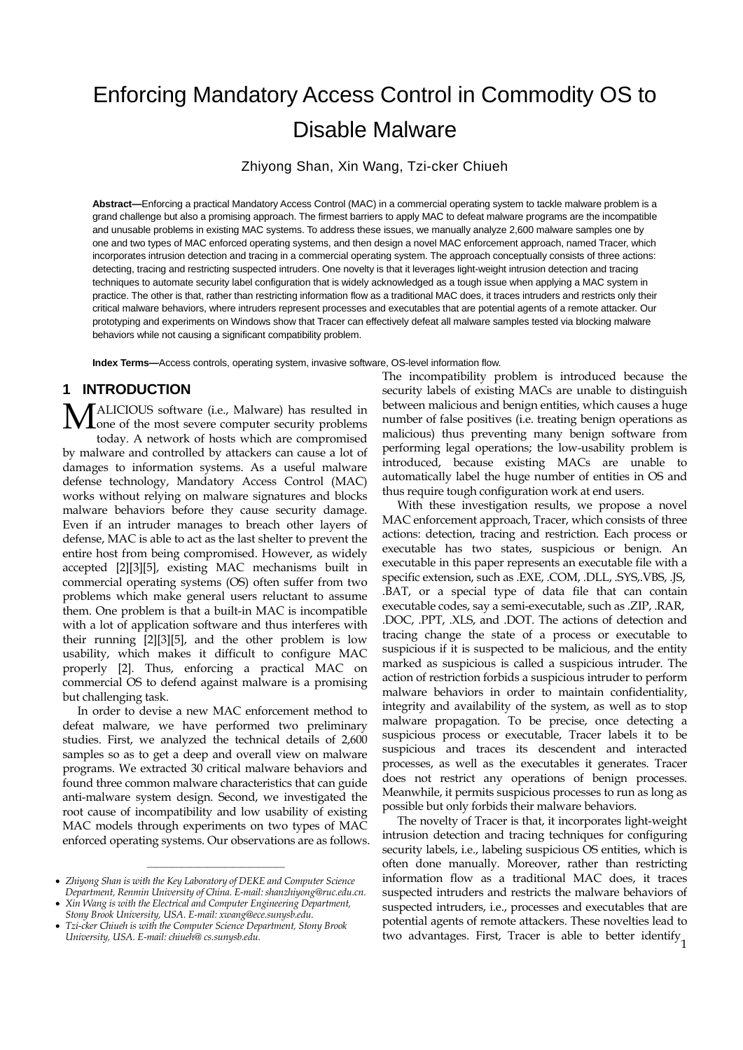# Enforcing Mandatory Access Control in Commodity OS to Disable Malware

Zhiyong Shan, Xin Wang, Tzi-cker Chiueh

**Abstract—**Enforcing a practical Mandatory Access Control (MAC) in a commercial operating system to tackle malware problem is a grand challenge but also a promising approach. The firmest barriers to apply MAC to defeat malware programs are the incompatible and unusable problems in existing MAC systems. To address these issues, we manually analyze 2,600 malware samples one by one and two types of MAC enforced operating systems, and then design a novel MAC enforcement approach, named Tracer, which incorporates intrusion detection and tracing in a commercial operating system. The approach conceptually consists of three actions: detecting, tracing and restricting suspected intruders. One novelty is that it leverages light-weight intrusion detection and tracing techniques to automate security label configuration that is widely acknowledged as a tough issue when applying a MAC system in practice. The other is that, rather than restricting information flow as a traditional MAC does, it traces intruders and restricts only their critical malware behaviors, where intruders represent processes and executables that are potential agents of a remote attacker. Our prototyping and experiments on Windows show that Tracer can effectively defeat all malware samples tested via blocking malware behaviors while not causing a significant compatibility problem.

**Index Terms—**Access controls, operating system, invasive software, OS-level information flow.

# **1 INTRODUCTION**

ALICIOUS software (i.e., Malware) has resulted in **MALICIOUS** software (i.e., Malware) has resulted in one of the most severe computer security problems today. A network of hosts which are compromised by malware and controlled by attackers can cause a lot of damages to information systems. As a useful malware defense technology, Mandatory Access Control (MAC) works without relying on malware signatures and blocks malware behaviors before they cause security damage. Even if an intruder manages to breach other layers of defense, MAC is able to act as the last shelter to prevent the entire host from being compromised. However, as widely accepted [2][3][5], existing MAC mechanisms built in commercial operating systems (OS) often suffer from two problems which make general users reluctant to assume them. One problem is that a built-in MAC is incompatible with a lot of application software and thus interferes with their running [2][3][5], and the other problem is low usability, which makes it difficult to configure MAC properly [2]. Thus, enforcing a practical MAC on commercial OS to defend against malware is a promising but challenging task.

In order to devise a new MAC enforcement method to defeat malware, we have performed two preliminary studies. First, we analyzed the technical details of 2,600 samples so as to get a deep and overall view on malware programs. We extracted 30 critical malware behaviors and found three common malware characteristics that can guide anti-malware system design. Second, we investigated the root cause of incompatibility and low usability of existing MAC models through experiments on two types of MAC enforced operating systems. Our observations are as follows. The incompatibility problem is introduced because the security labels of existing MACs are unable to distinguish between malicious and benign entities, which causes a huge number of false positives (i.e. treating benign operations as malicious) thus preventing many benign software from performing legal operations; the low-usability problem is introduced, because existing MACs are unable to automatically label the huge number of entities in OS and thus require tough configuration work at end users.

With these investigation results, we propose a novel MAC enforcement approach, Tracer, which consists of three actions: detection, tracing and restriction. Each process or executable has two states, suspicious or benign. An executable in this paper represents an executable file with a specific extension, such as .EXE, .COM, .DLL, .SYS,.VBS, .JS, .BAT, or a special type of data file that can contain executable codes, say a semi-executable, such as .ZIP, .RAR, .DOC, .PPT, .XLS, and .DOT. The actions of detection and tracing change the state of a process or executable to suspicious if it is suspected to be malicious, and the entity marked as suspicious is called a suspicious intruder. The action of restriction forbids a suspicious intruder to perform malware behaviors in order to maintain confidentiality, integrity and availability of the system, as well as to stop malware propagation. To be precise, once detecting a suspicious process or executable, Tracer labels it to be suspicious and traces its descendent and interacted processes, as well as the executables it generates. Tracer does not restrict any operations of benign processes. Meanwhile, it permits suspicious processes to run as long as possible but only forbids their malware behaviors.

two advantages. First, Tracer is able to better identify 1 The novelty of Tracer is that, it incorporates light-weight intrusion detection and tracing techniques for configuring security labels, i.e., labeling suspicious OS entities, which is often done manually. Moreover, rather than restricting information flow as a traditional MAC does, it traces suspected intruders and restricts the malware behaviors of suspected intruders, i.e., processes and executables that are potential agents of remote attackers. These novelties lead to

 $\overline{\phantom{a}}$  , and the contract of the contract of the contract of the contract of the contract of the contract of the contract of the contract of the contract of the contract of the contract of the contract of the contrac *Zhiyong Shan is with the Key Laboratory of DEKE and Computer Science Department, Renmin University of China. E-mail: shanzhiyong@ruc.edu.cn.*

*Xin Wang is with the Electrical and Computer Engineering Department, Stony Brook University, USA. E-mail: xwang@ece.sunysb.edu.*

*Tzi-cker Chiueh is with the Computer Science Department, Stony Brook University, USA. E-mail: chiueh@ cs.sunysb.edu.*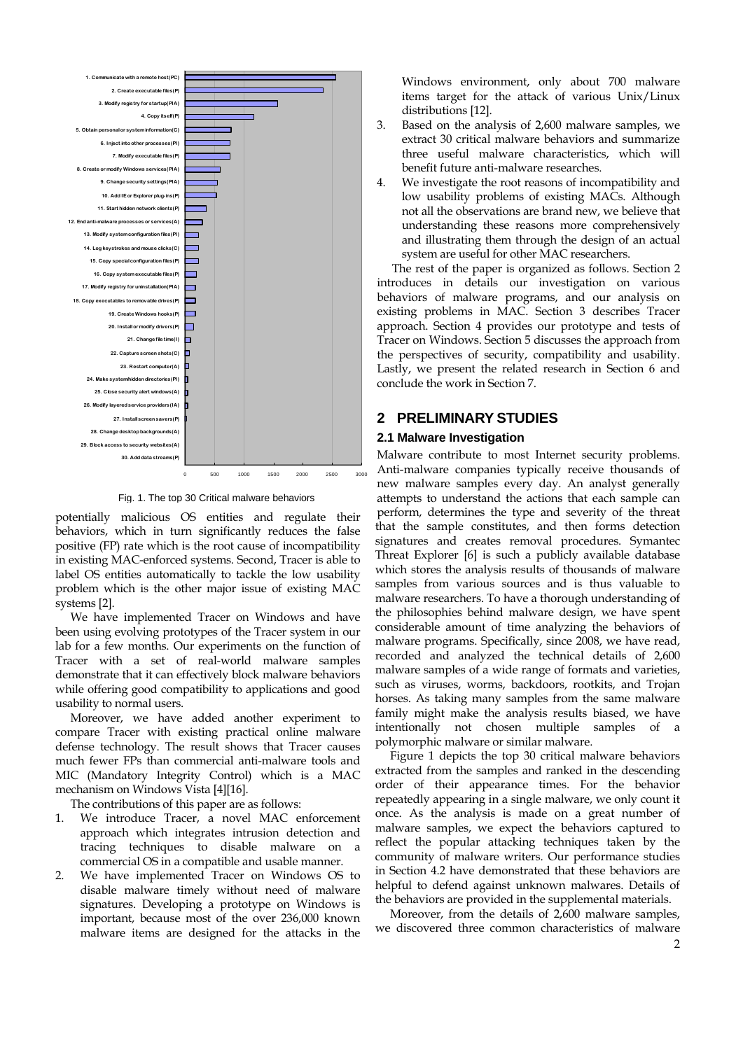

Fig. 1. The top 30 Critical malware behaviors

potentially malicious OS entities and regulate their behaviors, which in turn significantly reduces the false positive (FP) rate which is the root cause of incompatibility in existing MAC-enforced systems. Second, Tracer is able to label OS entities automatically to tackle the low usability problem which is the other major issue of existing MAC systems [2].

We have implemented Tracer on Windows and have been using evolving prototypes of the Tracer system in our lab for a few months. Our experiments on the function of Tracer with a set of real-world malware samples demonstrate that it can effectively block malware behaviors while offering good compatibility to applications and good usability to normal users.

Moreover, we have added another experiment to compare Tracer with existing practical online malware defense technology. The result shows that Tracer causes much fewer FPs than commercial anti-malware tools and MIC (Mandatory Integrity Control) which is a MAC mechanism on Windows Vista [4][16].

The contributions of this paper are as follows:

- 1. We introduce Tracer, a novel MAC enforcement approach which integrates intrusion detection and tracing techniques to disable malware on commercial OS in a compatible and usable manner.
- 2. We have implemented Tracer on Windows OS to disable malware timely without need of malware signatures. Developing a prototype on Windows is important, because most of the over 236,000 known malware items are designed for the attacks in the

Windows environment, only about 700 malware items target for the attack of various Unix/Linux distributions [12].

- 3. Based on the analysis of 2,600 malware samples, we extract 30 critical malware behaviors and summarize three useful malware characteristics, which will benefit future anti-malware researches.
- 4. We investigate the root reasons of incompatibility and low usability problems of existing MACs. Although not all the observations are brand new, we believe that understanding these reasons more comprehensively and illustrating them through the design of an actual system are useful for other MAC researchers.

The rest of the paper is organized as follows. Section 2 introduces in details our investigation on various behaviors of malware programs, and our analysis on existing problems in MAC. Section 3 describes Tracer approach. Section 4 provides our prototype and tests of Tracer on Windows. Section 5 discusses the approach from the perspectives of security, compatibility and usability. Lastly, we present the related research in Section 6 and conclude the work in Section 7.

# **2 PRELIMINARY STUDIES**

#### **2.1 Malware Investigation**

Malware contribute to most Internet security problems. Anti-malware companies typically receive thousands of new malware samples every day. An analyst generally attempts to understand the actions that each sample can perform, determines the type and severity of the threat that the sample constitutes, and then forms detection signatures and creates removal procedures. Symantec Threat Explorer [6] is such a publicly available database which stores the analysis results of thousands of malware samples from various sources and is thus valuable to malware researchers. To have a thorough understanding of the philosophies behind malware design, we have spent considerable amount of time analyzing the behaviors of malware programs. Specifically, since 2008, we have read, recorded and analyzed the technical details of 2,600 malware samples of a wide range of formats and varieties, such as viruses, worms, backdoors, rootkits, and Trojan horses. As taking many samples from the same malware family might make the analysis results biased, we have intentionally not chosen multiple samples of a polymorphic malware or similar malware.

Figure 1 depicts the top 30 critical malware behaviors extracted from the samples and ranked in the descending order of their appearance times. For the behavior repeatedly appearing in a single malware, we only count it once. As the analysis is made on a great number of malware samples, we expect the behaviors captured to reflect the popular attacking techniques taken by the community of malware writers. Our performance studies in Section 4.2 have demonstrated that these behaviors are helpful to defend against unknown malwares. Details of the behaviors are provided in the supplemental materials.

Moreover, from the details of 2,600 malware samples, we discovered three common characteristics of malware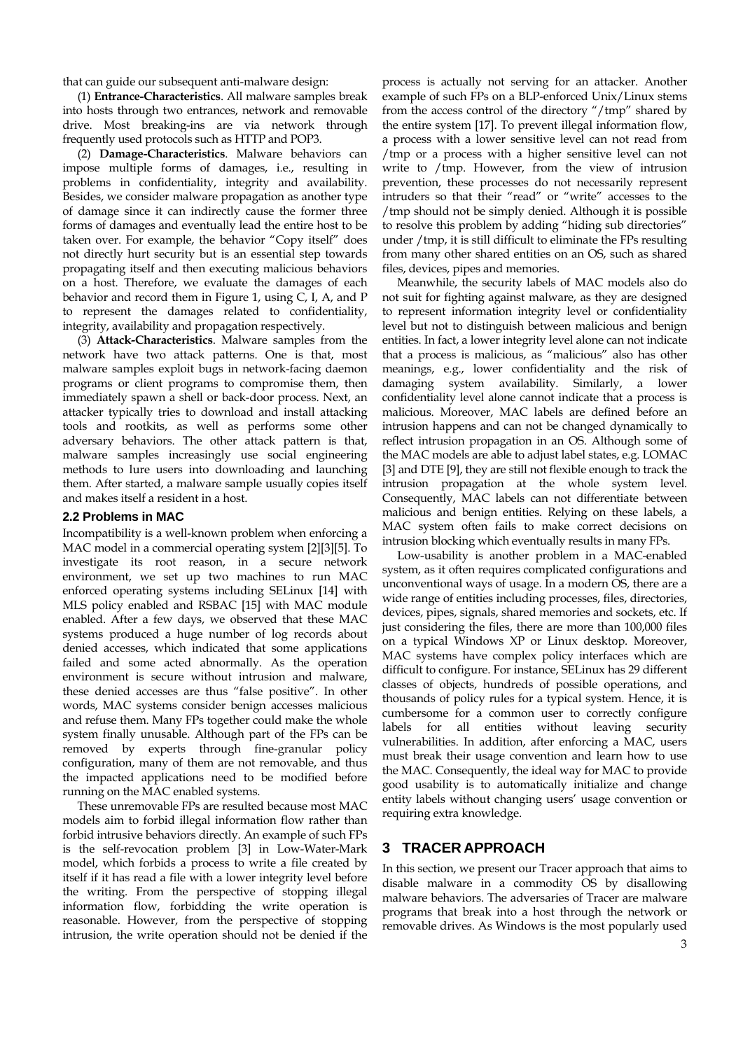that can guide our subsequent anti-malware design:

(1) **Entrance-Characteristics**. All malware samples break into hosts through two entrances, network and removable drive. Most breaking-ins are via network through frequently used protocols such as HTTP and POP3.

(2) **Damage-Characteristics**. Malware behaviors can impose multiple forms of damages, i.e., resulting in problems in confidentiality, integrity and availability. Besides, we consider malware propagation as another type of damage since it can indirectly cause the former three forms of damages and eventually lead the entire host to be taken over. For example, the behavior "Copy itself" does not directly hurt security but is an essential step towards propagating itself and then executing malicious behaviors on a host. Therefore, we evaluate the damages of each behavior and record them in Figure 1, using C, I, A, and P to represent the damages related to confidentiality, integrity, availability and propagation respectively.

(3) **Attack-Characteristics**. Malware samples from the network have two attack patterns. One is that, most malware samples exploit bugs in network-facing daemon programs or client programs to compromise them, then immediately spawn a shell or back-door process. Next, an attacker typically tries to download and install attacking tools and rootkits, as well as performs some other adversary behaviors. The other attack pattern is that, malware samples increasingly use social engineering methods to lure users into downloading and launching them. After started, a malware sample usually copies itself and makes itself a resident in a host.

## **2.2 Problems in MAC**

Incompatibility is a well-known problem when enforcing a MAC model in a commercial operating system [2][3][5]. To investigate its root reason, in a secure network environment, we set up two machines to run MAC enforced operating systems including SELinux [14] with MLS policy enabled and RSBAC [15] with MAC module enabled. After a few days, we observed that these MAC systems produced a huge number of log records about denied accesses, which indicated that some applications failed and some acted abnormally. As the operation environment is secure without intrusion and malware, these denied accesses are thus "false positive". In other words, MAC systems consider benign accesses malicious and refuse them. Many FPs together could make the whole system finally unusable. Although part of the FPs can be removed by experts through fine-granular policy configuration, many of them are not removable, and thus the impacted applications need to be modified before running on the MAC enabled systems.

These unremovable FPs are resulted because most MAC models aim to forbid illegal information flow rather than forbid intrusive behaviors directly. An example of such FPs is the self-revocation problem [3] in Low-Water-Mark model, which forbids a process to write a file created by itself if it has read a file with a lower integrity level before the writing. From the perspective of stopping illegal information flow, forbidding the write operation is reasonable. However, from the perspective of stopping intrusion, the write operation should not be denied if the

process is actually not serving for an attacker. Another example of such FPs on a BLP-enforced Unix/Linux stems from the access control of the directory "/tmp" shared by the entire system [17]. To prevent illegal information flow, a process with a lower sensitive level can not read from /tmp or a process with a higher sensitive level can not write to /tmp. However, from the view of intrusion prevention, these processes do not necessarily represent intruders so that their "read" or "write" accesses to the /tmp should not be simply denied. Although it is possible to resolve this problem by adding "hiding sub directories" under /tmp, it is still difficult to eliminate the FPs resulting from many other shared entities on an OS, such as shared files, devices, pipes and memories.

Meanwhile, the security labels of MAC models also do not suit for fighting against malware, as they are designed to represent information integrity level or confidentiality level but not to distinguish between malicious and benign entities. In fact, a lower integrity level alone can not indicate that a process is malicious, as "malicious" also has other meanings, e.g., lower confidentiality and the risk of damaging system availability. Similarly, a lower confidentiality level alone cannot indicate that a process is malicious. Moreover, MAC labels are defined before an intrusion happens and can not be changed dynamically to reflect intrusion propagation in an OS. Although some of the MAC models are able to adjust label states, e.g. LOMAC [3] and DTE [9], they are still not flexible enough to track the intrusion propagation at the whole system level. Consequently, MAC labels can not differentiate between malicious and benign entities. Relying on these labels, a MAC system often fails to make correct decisions on intrusion blocking which eventually results in many FPs.

Low-usability is another problem in a MAC-enabled system, as it often requires complicated configurations and unconventional ways of usage. In a modern OS, there are a wide range of entities including processes, files, directories, devices, pipes, signals, shared memories and sockets, etc. If just considering the files, there are more than 100,000 files on a typical Windows XP or Linux desktop. Moreover, MAC systems have complex policy interfaces which are difficult to configure. For instance, SELinux has 29 different classes of objects, hundreds of possible operations, and thousands of policy rules for a typical system. Hence, it is cumbersome for a common user to correctly configure labels for all entities without leaving security vulnerabilities. In addition, after enforcing a MAC, users must break their usage convention and learn how to use the MAC. Consequently, the ideal way for MAC to provide good usability is to automatically initialize and change entity labels without changing users' usage convention or requiring extra knowledge.

# **3 TRACER APPROACH**

In this section, we present our Tracer approach that aims to disable malware in a commodity OS by disallowing malware behaviors. The adversaries of Tracer are malware programs that break into a host through the network or removable drives. As Windows is the most popularly used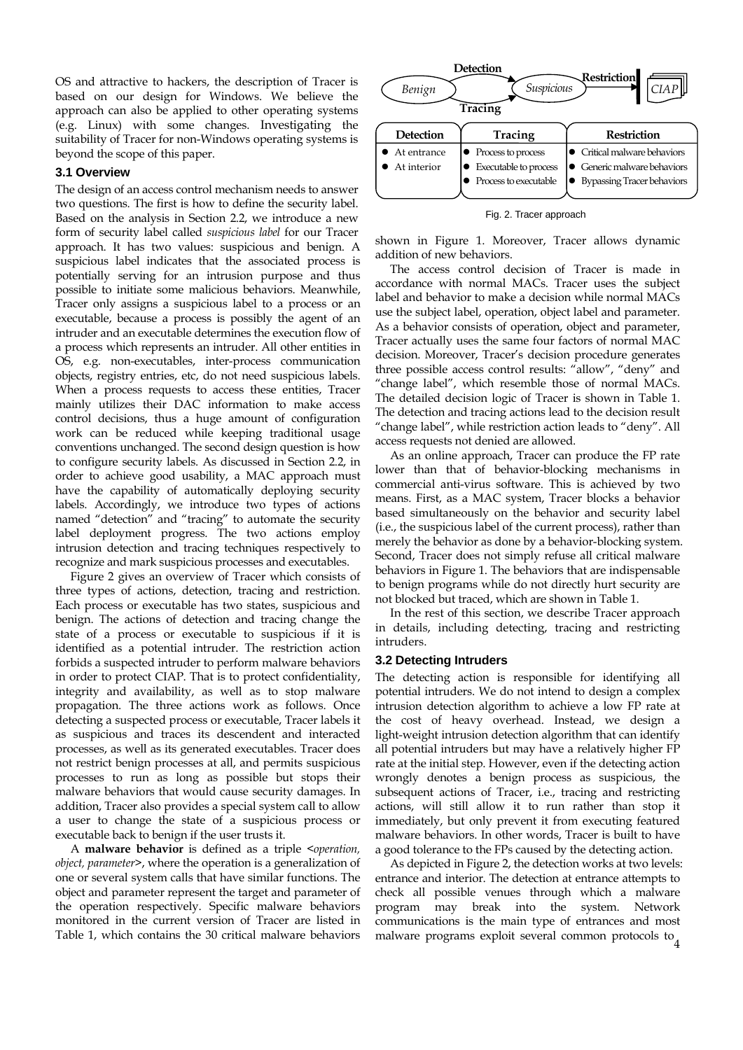OS and attractive to hackers, the description of Tracer is based on our design for Windows. We believe the approach can also be applied to other operating systems (e.g. Linux) with some changes. Investigating the suitability of Tracer for non-Windows operating systems is beyond the scope of this paper.

## **3.1 Overview**

The design of an access control mechanism needs to answer two questions. The first is how to define the security label. Based on the analysis in Section 2.2, we introduce a new form of security label called *suspicious label* for our Tracer approach. It has two values: suspicious and benign. A suspicious label indicates that the associated process is potentially serving for an intrusion purpose and thus possible to initiate some malicious behaviors. Meanwhile, Tracer only assigns a suspicious label to a process or an executable, because a process is possibly the agent of an intruder and an executable determines the execution flow of a process which represents an intruder. All other entities in OS, e.g. non-executables, inter-process communication objects, registry entries, etc, do not need suspicious labels. When a process requests to access these entities, Tracer mainly utilizes their DAC information to make access control decisions, thus a huge amount of configuration work can be reduced while keeping traditional usage conventions unchanged. The second design question is how to configure security labels. As discussed in Section 2.2, in order to achieve good usability, a MAC approach must have the capability of automatically deploying security labels. Accordingly, we introduce two types of actions named "detection" and "tracing" to automate the security label deployment progress. The two actions employ intrusion detection and tracing techniques respectively to recognize and mark suspicious processes and executables.

Figure 2 gives an overview of Tracer which consists of three types of actions, detection, tracing and restriction. Each process or executable has two states, suspicious and benign. The actions of detection and tracing change the state of a process or executable to suspicious if it is identified as a potential intruder. The restriction action forbids a suspected intruder to perform malware behaviors in order to protect CIAP. That is to protect confidentiality, integrity and availability, as well as to stop malware propagation. The three actions work as follows. Once detecting a suspected process or executable, Tracer labels it as suspicious and traces its descendent and interacted processes, as well as its generated executables. Tracer does not restrict benign processes at all, and permits suspicious processes to run as long as possible but stops their malware behaviors that would cause security damages. In addition, Tracer also provides a special system call to allow a user to change the state of a suspicious process or executable back to benign if the user trusts it.

A **malware behavior** is defined as a triple *<operation, object, parameter>*, where the operation is a generalization of one or several system calls that have similar functions. The object and parameter represent the target and parameter of the operation respectively. Specific malware behaviors monitored in the current version of Tracer are listed in Table 1, which contains the 30 critical malware behaviors



Fig. 2. Tracer approach

shown in Figure 1. Moreover, Tracer allows dynamic addition of new behaviors.

The access control decision of Tracer is made in accordance with normal MACs. Tracer uses the subject label and behavior to make a decision while normal MACs use the subject label, operation, object label and parameter. As a behavior consists of operation, object and parameter, Tracer actually uses the same four factors of normal MAC decision. Moreover, Tracer's decision procedure generates three possible access control results: "allow", "deny" and "change label", which resemble those of normal MACs. The detailed decision logic of Tracer is shown in Table 1. The detection and tracing actions lead to the decision result "change label", while restriction action leads to "deny". All access requests not denied are allowed.

As an online approach, Tracer can produce the FP rate lower than that of behavior-blocking mechanisms in commercial anti-virus software. This is achieved by two means. First, as a MAC system, Tracer blocks a behavior based simultaneously on the behavior and security label (i.e., the suspicious label of the current process), rather than merely the behavior as done by a behavior-blocking system. Second, Tracer does not simply refuse all critical malware behaviors in Figure 1. The behaviors that are indispensable to benign programs while do not directly hurt security are not blocked but traced, which are shown in Table 1.

In the rest of this section, we describe Tracer approach in details, including detecting, tracing and restricting intruders.

#### **3.2 Detecting Intruders**

The detecting action is responsible for identifying all potential intruders. We do not intend to design a complex intrusion detection algorithm to achieve a low FP rate at the cost of heavy overhead. Instead, we design a light-weight intrusion detection algorithm that can identify all potential intruders but may have a relatively higher FP rate at the initial step. However, even if the detecting action wrongly denotes a benign process as suspicious, the subsequent actions of Tracer, i.e., tracing and restricting actions, will still allow it to run rather than stop it immediately, but only prevent it from executing featured malware behaviors. In other words, Tracer is built to have a good tolerance to the FPs caused by the detecting action.

4 malware programs exploit several common protocols to As depicted in Figure 2, the detection works at two levels: entrance and interior. The detection at entrance attempts to check all possible venues through which a malware program may break into the system. Network communications is the main type of entrances and most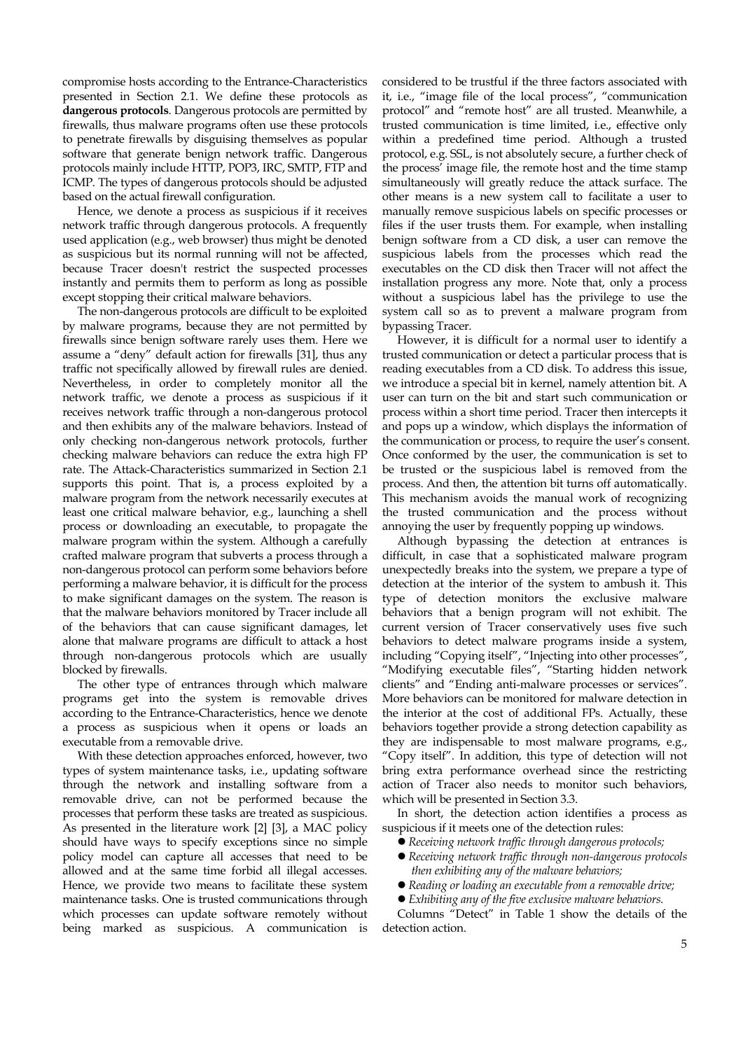compromise hosts according to the Entrance-Characteristics presented in Section 2.1. We define these protocols as **dangerous protocols**. Dangerous protocols are permitted by firewalls, thus malware programs often use these protocols to penetrate firewalls by disguising themselves as popular software that generate benign network traffic. Dangerous protocols mainly include HTTP, POP3, IRC, SMTP, FTP and ICMP. The types of dangerous protocols should be adjusted based on the actual firewall configuration.

Hence, we denote a process as suspicious if it receives network traffic through dangerous protocols. A frequently used application (e.g., web browser) thus might be denoted as suspicious but its normal running will not be affected, because Tracer doesn't restrict the suspected processes instantly and permits them to perform as long as possible except stopping their critical malware behaviors.

The non-dangerous protocols are difficult to be exploited by malware programs, because they are not permitted by firewalls since benign software rarely uses them. Here we assume a "deny" default action for firewalls [31], thus any traffic not specifically allowed by firewall rules are denied. Nevertheless, in order to completely monitor all the network traffic, we denote a process as suspicious if it receives network traffic through a non-dangerous protocol and then exhibits any of the malware behaviors. Instead of only checking non-dangerous network protocols, further checking malware behaviors can reduce the extra high FP rate. The Attack-Characteristics summarized in Section 2.1 supports this point. That is, a process exploited by a malware program from the network necessarily executes at least one critical malware behavior, e.g., launching a shell process or downloading an executable, to propagate the malware program within the system. Although a carefully crafted malware program that subverts a process through a non-dangerous protocol can perform some behaviors before performing a malware behavior, it is difficult for the process to make significant damages on the system. The reason is that the malware behaviors monitored by Tracer include all of the behaviors that can cause significant damages, let alone that malware programs are difficult to attack a host through non-dangerous protocols which are usually blocked by firewalls.

The other type of entrances through which malware programs get into the system is removable drives according to the Entrance-Characteristics, hence we denote a process as suspicious when it opens or loads an executable from a removable drive.

With these detection approaches enforced, however, two types of system maintenance tasks, i.e., updating software through the network and installing software from a removable drive, can not be performed because the processes that perform these tasks are treated as suspicious. As presented in the literature work [2] [3], a MAC policy should have ways to specify exceptions since no simple policy model can capture all accesses that need to be allowed and at the same time forbid all illegal accesses. Hence, we provide two means to facilitate these system maintenance tasks. One is trusted communications through which processes can update software remotely without being marked as suspicious. A communication is

considered to be trustful if the three factors associated with it, i.e., "image file of the local process", "communication protocol" and "remote host" are all trusted. Meanwhile, a trusted communication is time limited, i.e., effective only within a predefined time period. Although a trusted protocol, e.g. SSL, is not absolutely secure, a further check of the process' image file, the remote host and the time stamp simultaneously will greatly reduce the attack surface. The other means is a new system call to facilitate a user to manually remove suspicious labels on specific processes or files if the user trusts them. For example, when installing benign software from a CD disk, a user can remove the suspicious labels from the processes which read the executables on the CD disk then Tracer will not affect the installation progress any more. Note that, only a process without a suspicious label has the privilege to use the system call so as to prevent a malware program from bypassing Tracer.

However, it is difficult for a normal user to identify a trusted communication or detect a particular process that is reading executables from a CD disk. To address this issue, we introduce a special bit in kernel, namely attention bit. A user can turn on the bit and start such communication or process within a short time period. Tracer then intercepts it and pops up a window, which displays the information of the communication or process, to require the user's consent. Once conformed by the user, the communication is set to be trusted or the suspicious label is removed from the process. And then, the attention bit turns off automatically. This mechanism avoids the manual work of recognizing the trusted communication and the process without annoying the user by frequently popping up windows.

Although bypassing the detection at entrances is difficult, in case that a sophisticated malware program unexpectedly breaks into the system, we prepare a type of detection at the interior of the system to ambush it. This type of detection monitors the exclusive malware behaviors that a benign program will not exhibit. The current version of Tracer conservatively uses five such behaviors to detect malware programs inside a system, including "Copying itself", "Injecting into other processes", "Modifying executable files", "Starting hidden network clients" and "Ending anti-malware processes or services". More behaviors can be monitored for malware detection in the interior at the cost of additional FPs. Actually, these behaviors together provide a strong detection capability as they are indispensable to most malware programs, e.g., "Copy itself". In addition, this type of detection will not bring extra performance overhead since the restricting action of Tracer also needs to monitor such behaviors, which will be presented in Section 3.3.

In short, the detection action identifies a process as suspicious if it meets one of the detection rules:

- *Receiving network traffic through dangerous protocols;*
- *Receiving network traffic through non-dangerous protocols then exhibiting any of the malware behaviors;*
- *Reading or loading an executable from a removable drive;*
- *Exhibiting any of the five exclusive malware behaviors.*

Columns "Detect" in Table 1 show the details of the detection action.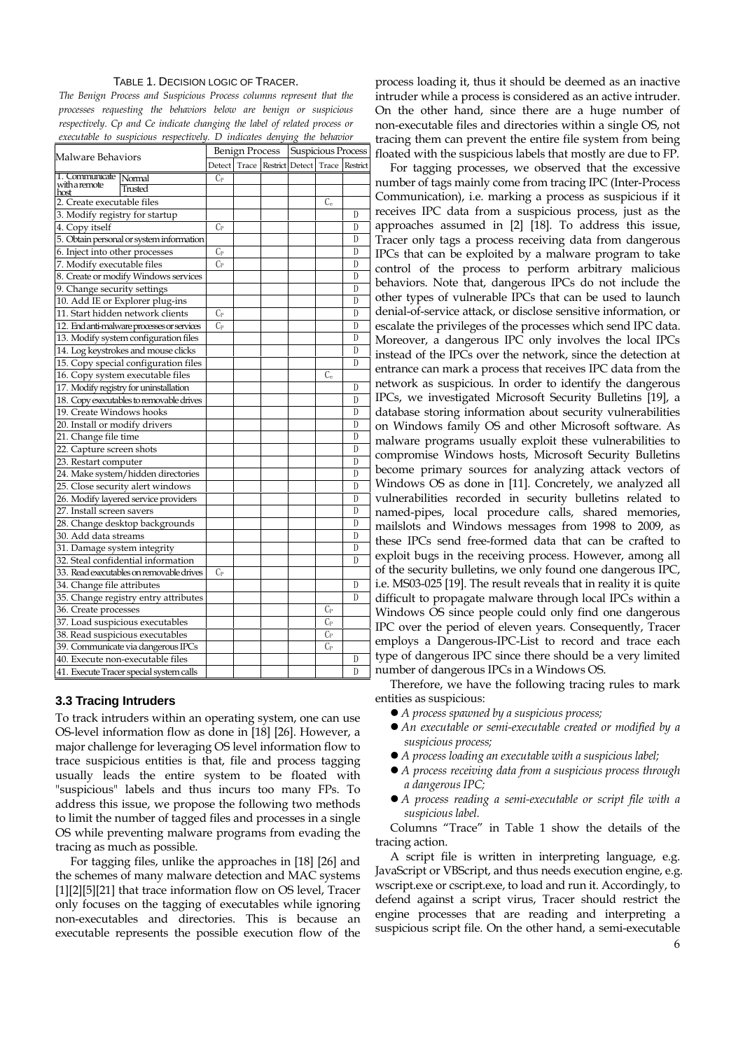## TABLE 1. DECISION LOGIC OF TRACER.

*The Benign Process and Suspicious Process columns represent that the processes requesting the behaviors below are benign or suspicious respectively. Cp and Ce indicate changing the label of related process or executable to suspicious respectively. D indicates denying the behavior*

| Malware Behaviors                        |                                            | <b>Benign Process</b> |  |                              | Suspicious Process |             |          |
|------------------------------------------|--------------------------------------------|-----------------------|--|------------------------------|--------------------|-------------|----------|
|                                          |                                            |                       |  | Detect Trace Restrict Detect |                    | Trace       | Restrict |
| 1. Communicate Normal                    |                                            | $C_{P}$               |  |                              |                    |             |          |
| with a remote<br>host                    | Trusted                                    |                       |  |                              |                    |             |          |
| 2. Create executable files               |                                            |                       |  |                              |                    | $C_{\rm e}$ |          |
| 3. Modify registry for startup           |                                            |                       |  |                              |                    |             | D        |
| 4. Copy itself                           |                                            | $C_{P}$               |  |                              |                    |             | D        |
|                                          | 5. Obtain personal or system information   |                       |  |                              |                    |             | D        |
| 6. Inject into other processes           |                                            | Cр                    |  |                              |                    |             | D        |
| 7. Modify executable files               |                                            | $C_{P}$               |  |                              |                    |             | D        |
|                                          | 8. Create or modify Windows services       |                       |  |                              |                    |             | D        |
| 9. Change security settings              |                                            |                       |  |                              |                    |             | D        |
|                                          | 10. Add IE or Explorer plug-ins            |                       |  |                              |                    |             | D        |
|                                          | 11. Start hidden network clients           | $C_{P}$               |  |                              |                    |             | D        |
|                                          | 12. End anti-malware processes or services | $C_{P}$               |  |                              |                    |             | D        |
|                                          | 13. Modify system configuration files      |                       |  |                              |                    |             | D        |
|                                          | 14. Log keystrokes and mouse clicks        |                       |  |                              |                    |             | D        |
|                                          | 15. Copy special configuration files       |                       |  |                              |                    |             | D        |
|                                          | 16. Copy system executable files           |                       |  |                              |                    | $C_{e}$     |          |
|                                          | 17. Modify registry for uninstallation     |                       |  |                              |                    |             | D        |
|                                          | 18. Copy executables to removable drives   |                       |  |                              |                    |             | D        |
| 19. Create Windows hooks                 |                                            |                       |  |                              |                    |             | D        |
| 20. Install or modify drivers            |                                            |                       |  |                              |                    |             | D        |
| 21. Change file time                     |                                            |                       |  |                              |                    |             | D        |
| 22. Capture screen shots                 |                                            |                       |  |                              |                    |             | D        |
| 23. Restart computer                     |                                            |                       |  |                              |                    |             | D        |
|                                          | 24. Make system/hidden directories         |                       |  |                              |                    |             | D        |
|                                          | 25. Close security alert windows           |                       |  |                              |                    |             | D        |
|                                          | 26. Modify layered service providers       |                       |  |                              |                    |             | D        |
| 27. Install screen savers                |                                            |                       |  |                              |                    |             | D        |
| 28. Change desktop backgrounds           |                                            |                       |  |                              |                    |             | D        |
| 30. Add data streams                     |                                            |                       |  |                              |                    |             | D        |
| 31. Damage system integrity              |                                            |                       |  |                              |                    |             | D        |
| 32. Steal confidential information       |                                            |                       |  |                              |                    |             | D        |
| 33. Read executables on removable drives |                                            | $C_{P}$               |  |                              |                    |             |          |
| 34. Change file attributes               |                                            |                       |  |                              |                    |             | D        |
|                                          | 35. Change registry entry attributes       |                       |  |                              |                    |             | D        |
| 36. Create processes                     |                                            |                       |  |                              |                    | $C_{P}$     |          |
| 37. Load suspicious executables          |                                            |                       |  |                              |                    | $C_{P}$     |          |
| 38. Read suspicious executables          |                                            |                       |  |                              |                    | $C_{P}$     |          |
| 39. Communicate via dangerous IPCs       |                                            |                       |  |                              | $C_{P}$            |             |          |
| 40. Execute non-executable files         |                                            |                       |  |                              |                    | D           |          |
|                                          | 41. Execute Tracer special system calls    |                       |  |                              |                    |             | D        |

# **3.3 Tracing Intruders**

To track intruders within an operating system, one can use OS-level information flow as done in [18] [26]. However, a major challenge for leveraging OS level information flow to trace suspicious entities is that, file and process tagging usually leads the entire system to be floated with "suspicious" labels and thus incurs too many FPs. To address this issue, we propose the following two methods to limit the number of tagged files and processes in a single OS while preventing malware programs from evading the tracing as much as possible.

For tagging files, unlike the approaches in [18] [26] and the schemes of many malware detection and MAC systems [1][2][5][21] that trace information flow on OS level, Tracer only focuses on the tagging of executables while ignoring non-executables and directories. This is because an executable represents the possible execution flow of the

process loading it, thus it should be deemed as an inactive intruder while a process is considered as an active intruder. On the other hand, since there are a huge number of non-executable files and directories within a single OS, not tracing them can prevent the entire file system from being floated with the suspicious labels that mostly are due to FP.

For tagging processes, we observed that the excessive number of tags mainly come from tracing IPC (Inter-Process Communication), i.e. marking a process as suspicious if it receives IPC data from a suspicious process, just as the approaches assumed in [2] [18]. To address this issue, Tracer only tags a process receiving data from dangerous IPCs that can be exploited by a malware program to take control of the process to perform arbitrary malicious behaviors. Note that, dangerous IPCs do not include the other types of vulnerable IPCs that can be used to launch denial-of-service attack, or disclose sensitive information, or escalate the privileges of the processes which send IPC data. Moreover, a dangerous IPC only involves the local IPCs instead of the IPCs over the network, since the detection at entrance can mark a process that receives IPC data from the network as suspicious. In order to identify the dangerous IPCs, we investigated Microsoft Security Bulletins [19], a database storing information about security vulnerabilities on Windows family OS and other Microsoft software. As malware programs usually exploit these vulnerabilities to compromise Windows hosts, Microsoft Security Bulletins become primary sources for analyzing attack vectors of Windows OS as done in [11]. Concretely, we analyzed all vulnerabilities recorded in security bulletins related to named-pipes, local procedure calls, shared memories, mailslots and Windows messages from 1998 to 2009, as these IPCs send free-formed data that can be crafted to exploit bugs in the receiving process. However, among all of the security bulletins, we only found one dangerous IPC, i.e. MS03-025 [19]. The result reveals that in reality it is quite difficult to propagate malware through local IPCs within a Windows OS since people could only find one dangerous IPC over the period of eleven years. Consequently, Tracer employs a Dangerous-IPC-List to record and trace each type of dangerous IPC since there should be a very limited number of dangerous IPCs in a Windows OS.

Therefore, we have the following tracing rules to mark entities as suspicious:

- *A process spawned by a suspicious process;*
- *An executable or semi-executable created or modified by a suspicious process;*
- *A process loading an executable with a suspicious label;*
- *A process receiving data from a suspicious process through a dangerous IPC;*
- *A process reading a semi-executable or script file with a suspicious label.*

Columns "Trace" in Table 1 show the details of the tracing action.

A script file is written in interpreting language, e.g. JavaScript or VBScript, and thus needs execution engine, e.g. wscript.exe or cscript.exe, to load and run it. Accordingly, to defend against a script virus, Tracer should restrict the engine processes that are reading and interpreting a suspicious script file. On the other hand, a semi-executable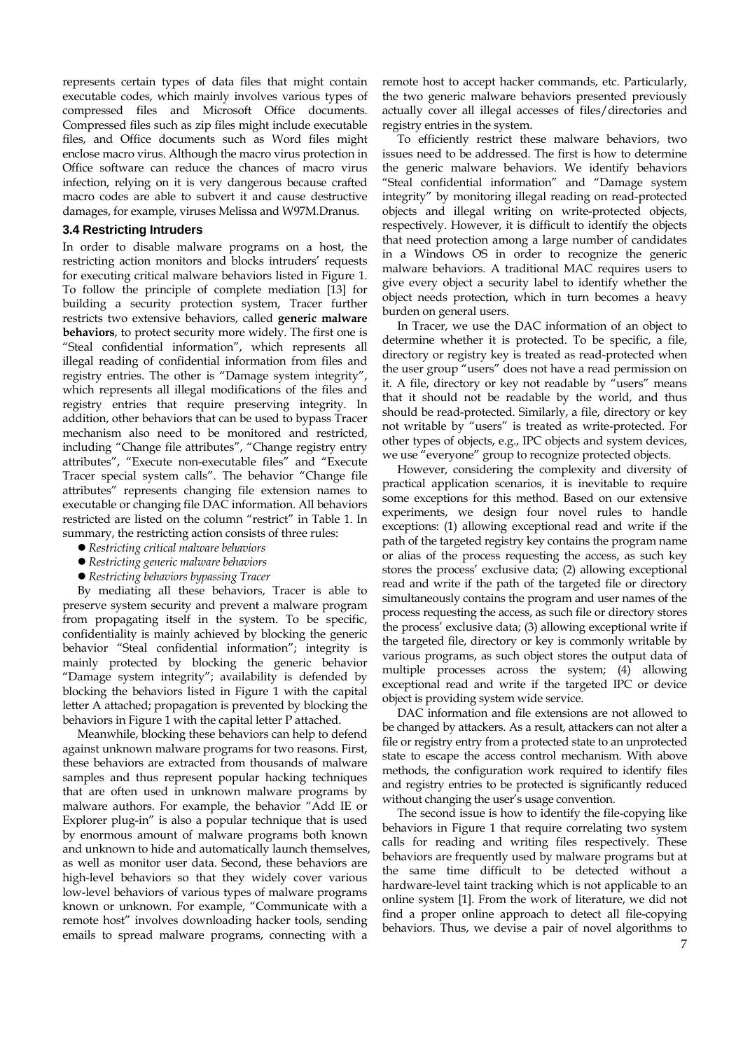represents certain types of data files that might contain executable codes, which mainly involves various types of compressed files and Microsoft Office documents. Compressed files such as zip files might include executable files, and Office documents such as Word files might enclose macro virus. Although the macro virus protection in Office software can reduce the chances of macro virus infection, relying on it is very dangerous because crafted macro codes are able to subvert it and cause destructive damages, for example, viruses Melissa and W97M.Dranus.

#### **3.4 Restricting Intruders**

In order to disable malware programs on a host, the restricting action monitors and blocks intruders' requests for executing critical malware behaviors listed in Figure 1. To follow the principle of complete mediation [13] for building a security protection system, Tracer further restricts two extensive behaviors, called **generic malware behaviors**, to protect security more widely. The first one is "Steal confidential information", which represents all illegal reading of confidential information from files and registry entries. The other is "Damage system integrity", which represents all illegal modifications of the files and registry entries that require preserving integrity. In addition, other behaviors that can be used to bypass Tracer mechanism also need to be monitored and restricted, including "Change file attributes", "Change registry entry attributes", "Execute non-executable files" and "Execute Tracer special system calls". The behavior "Change file attributes" represents changing file extension names to executable or changing file DAC information. All behaviors restricted are listed on the column "restrict" in Table 1. In summary, the restricting action consists of three rules:

- *Restricting critical malware behaviors*
- *Restricting generic malware behaviors*
- *Restricting behaviors bypassing Tracer*

By mediating all these behaviors, Tracer is able to preserve system security and prevent a malware program from propagating itself in the system. To be specific, confidentiality is mainly achieved by blocking the generic behavior "Steal confidential information"; integrity is mainly protected by blocking the generic behavior "Damage system integrity"; availability is defended by blocking the behaviors listed in Figure 1 with the capital letter A attached; propagation is prevented by blocking the behaviors in Figure 1 with the capital letter P attached.

Meanwhile, blocking these behaviors can help to defend against unknown malware programs for two reasons. First, these behaviors are extracted from thousands of malware samples and thus represent popular hacking techniques that are often used in unknown malware programs by malware authors. For example, the behavior "Add IE or Explorer plug-in" is also a popular technique that is used by enormous amount of malware programs both known and unknown to hide and automatically launch themselves, as well as monitor user data. Second, these behaviors are high-level behaviors so that they widely cover various low-level behaviors of various types of malware programs known or unknown. For example, "Communicate with a remote host" involves downloading hacker tools, sending emails to spread malware programs, connecting with a

remote host to accept hacker commands, etc. Particularly, the two generic malware behaviors presented previously actually cover all illegal accesses of files/directories and registry entries in the system.

To efficiently restrict these malware behaviors, two issues need to be addressed. The first is how to determine the generic malware behaviors. We identify behaviors "Steal confidential information" and "Damage system integrity" by monitoring illegal reading on read-protected objects and illegal writing on write-protected objects, respectively. However, it is difficult to identify the objects that need protection among a large number of candidates in a Windows OS in order to recognize the generic malware behaviors. A traditional MAC requires users to give every object a security label to identify whether the object needs protection, which in turn becomes a heavy burden on general users.

In Tracer, we use the DAC information of an object to determine whether it is protected. To be specific, a file, directory or registry key is treated as read-protected when the user group "users" does not have a read permission on it. A file, directory or key not readable by "users" means that it should not be readable by the world, and thus should be read-protected. Similarly, a file, directory or key not writable by "users" is treated as write-protected. For other types of objects, e.g., IPC objects and system devices, we use "everyone" group to recognize protected objects.

However, considering the complexity and diversity of practical application scenarios, it is inevitable to require some exceptions for this method. Based on our extensive experiments, we design four novel rules to handle exceptions: (1) allowing exceptional read and write if the path of the targeted registry key contains the program name or alias of the process requesting the access, as such key stores the process' exclusive data; (2) allowing exceptional read and write if the path of the targeted file or directory simultaneously contains the program and user names of the process requesting the access, as such file or directory stores the process' exclusive data; (3) allowing exceptional write if the targeted file, directory or key is commonly writable by various programs, as such object stores the output data of multiple processes across the system; (4) allowing exceptional read and write if the targeted IPC or device object is providing system wide service.

DAC information and file extensions are not allowed to be changed by attackers. As a result, attackers can not alter a file or registry entry from a protected state to an unprotected state to escape the access control mechanism. With above methods, the configuration work required to identify files and registry entries to be protected is significantly reduced without changing the user's usage convention.

The second issue is how to identify the file-copying like behaviors in Figure 1 that require correlating two system calls for reading and writing files respectively. These behaviors are frequently used by malware programs but at the same time difficult to be detected without a hardware-level taint tracking which is not applicable to an online system [1]. From the work of literature, we did not find a proper online approach to detect all file-copying behaviors. Thus, we devise a pair of novel algorithms to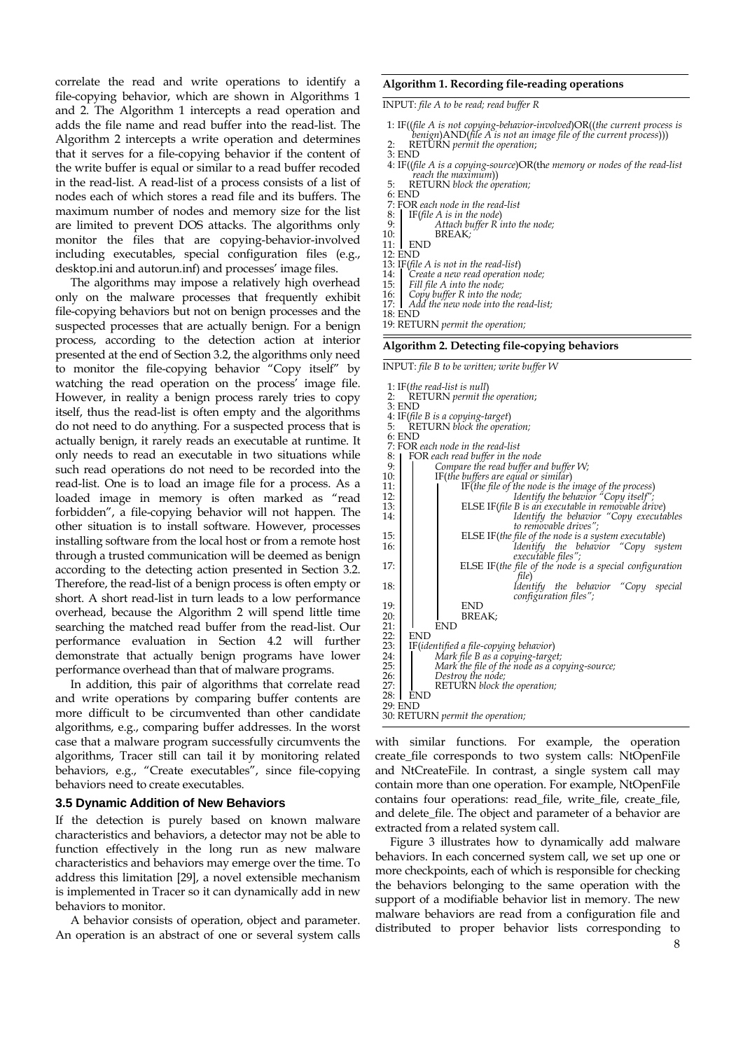correlate the read and write operations to identify a file-copying behavior, which are shown in Algorithms 1 and 2. The Algorithm 1 intercepts a read operation and adds the file name and read buffer into the read-list. The Algorithm 2 intercepts a write operation and determines that it serves for a file-copying behavior if the content of the write buffer is equal or similar to a read buffer recoded in the read-list. A read-list of a process consists of a list of nodes each of which stores a read file and its buffers. The maximum number of nodes and memory size for the list are limited to prevent DOS attacks. The algorithms only monitor the files that are copying-behavior-involved including executables, special configuration files (e.g., desktop.ini and autorun.inf) and processes' image files.

The algorithms may impose a relatively high overhead only on the malware processes that frequently exhibit file-copying behaviors but not on benign processes and the suspected processes that are actually benign. For a benign process, according to the detection action at interior presented at the end of Section 3.2, the algorithms only need to monitor the file-copying behavior "Copy itself" by watching the read operation on the process' image file. However, in reality a benign process rarely tries to copy itself, thus the read-list is often empty and the algorithms do not need to do anything. For a suspected process that is actually benign, it rarely reads an executable at runtime. It only needs to read an executable in two situations while such read operations do not need to be recorded into the read-list. One is to load an image file for a process. As a loaded image in memory is often marked as "read forbidden", a file-copying behavior will not happen. The other situation is to install software. However, processes installing software from the local host or from a remote host through a trusted communication will be deemed as benign according to the detecting action presented in Section 3.2. Therefore, the read-list of a benign process is often empty or short. A short read-list in turn leads to a low performance overhead, because the Algorithm 2 will spend little time searching the matched read buffer from the read-list. Our performance evaluation in Section 4.2 will further demonstrate that actually benign programs have lower performance overhead than that of malware programs.

In addition, this pair of algorithms that correlate read and write operations by comparing buffer contents are more difficult to be circumvented than other candidate algorithms, e.g., comparing buffer addresses. In the worst case that a malware program successfully circumvents the algorithms, Tracer still can tail it by monitoring related behaviors, e.g., "Create executables", since file-copying behaviors need to create executables.

#### **3.5 Dynamic Addition of New Behaviors**

If the detection is purely based on known malware characteristics and behaviors, a detector may not be able to function effectively in the long run as new malware characteristics and behaviors may emerge over the time. To address this limitation [29], a novel extensible mechanism is implemented in Tracer so it can dynamically add in new behaviors to monitor.

A behavior consists of operation, object and parameter. An operation is an abstract of one or several system calls

#### **Algorithm 1. Recording file-reading operations**

INPUT: *file A to be read; read buffer R* 

- 1: IF((*file A is not copying-behavior-involved*)OR((*the current process is*
- *benign*)AND(*file A is not an image file of the current process*)))
- 2: RETURN *permit the operation*; 3: END
- 4: IF((*file A is a copying-source*)OR(th*e memory or nodes of the read-list reach the maximum*))
- 5: RETURN *block the operation;*
- 6: END
- 7: FOR *each node in the read-list*
- 8: IF(*file A is in the node*)<br>9. Attach buffer R i
- 9: *Attach buffer R into the node;*  10:BREAK*;*
- 11: END
- 12: END
- 13: IF(*file A is not in the read-list*)
- 14: *Create a new read operation node;*
- 15: *Fill file A into the node;*
- 16: *Copy buffer R into the node;*
- 17: *Add the new node into the read-list;*  18: END
- 19: RETURN *permit the operation;*

#### **Algorithm 2. Detecting file-copying behaviors**

INPUT: *file B to be written; write buffer W* 

| 1: IF(the read-list is null)                                   |  |
|----------------------------------------------------------------|--|
| RETURN permit the operation;<br>2:                             |  |
| 3:END                                                          |  |
| 4: IF(file B is a copying-target)                              |  |
| 5:<br>RETURN block the operation;                              |  |
| 6:END                                                          |  |
| 7: FOR each node in the read-list                              |  |
| 8: I<br>FOR each read buffer in the node                       |  |
| 9:<br>Compare the read buffer and buffer W;                    |  |
| IF(the buffers are equal or similar)<br>10:                    |  |
| 11:<br>IF (the file of the node is the image of the process)   |  |
| Identify the behavior "Copy itself";<br>12:                    |  |
| 13:<br>ELSE IF(file B is an executable in removable drive)     |  |
| Identify the behavior "Copy executables<br>14:                 |  |
| to removable drives":                                          |  |
| ELSE IF(the file of the node is a system executable)<br>15:    |  |
| 16:<br>Identify the behavior "Copy system                      |  |
| executable files";                                             |  |
| 17:<br>ELSE IF(the file of the node is a special configuration |  |
| file)                                                          |  |
| 18:<br>Identify the behavior "Copy<br>special                  |  |
| configuration files";                                          |  |
| <b>END</b><br>19:                                              |  |
| 20:<br>BREAK;                                                  |  |
| 21:<br>END                                                     |  |
| 22:<br>23:<br><b>END</b>                                       |  |
| IF (identified a file-copying behavior)                        |  |
| 24:<br>Mark file B as a copying-target;                        |  |
| 25:<br>Mark the file of the node as a copying-source;          |  |
| 26:<br>Destroy the node;                                       |  |
| 27:<br>RETURN block the operation;<br>28: I<br><b>END</b>      |  |
| 29: END                                                        |  |
| 30: RETURN permit the operation;                               |  |
|                                                                |  |

with similar functions. For example, the operation create\_file corresponds to two system calls: NtOpenFile and NtCreateFile. In contrast, a single system call may contain more than one operation. For example, NtOpenFile contains four operations: read\_file, write\_file, create\_file, and delete\_file. The object and parameter of a behavior are extracted from a related system call.

Figure 3 illustrates how to dynamically add malware behaviors. In each concerned system call, we set up one or more checkpoints, each of which is responsible for checking the behaviors belonging to the same operation with the support of a modifiable behavior list in memory. The new malware behaviors are read from a configuration file and distributed to proper behavior lists corresponding to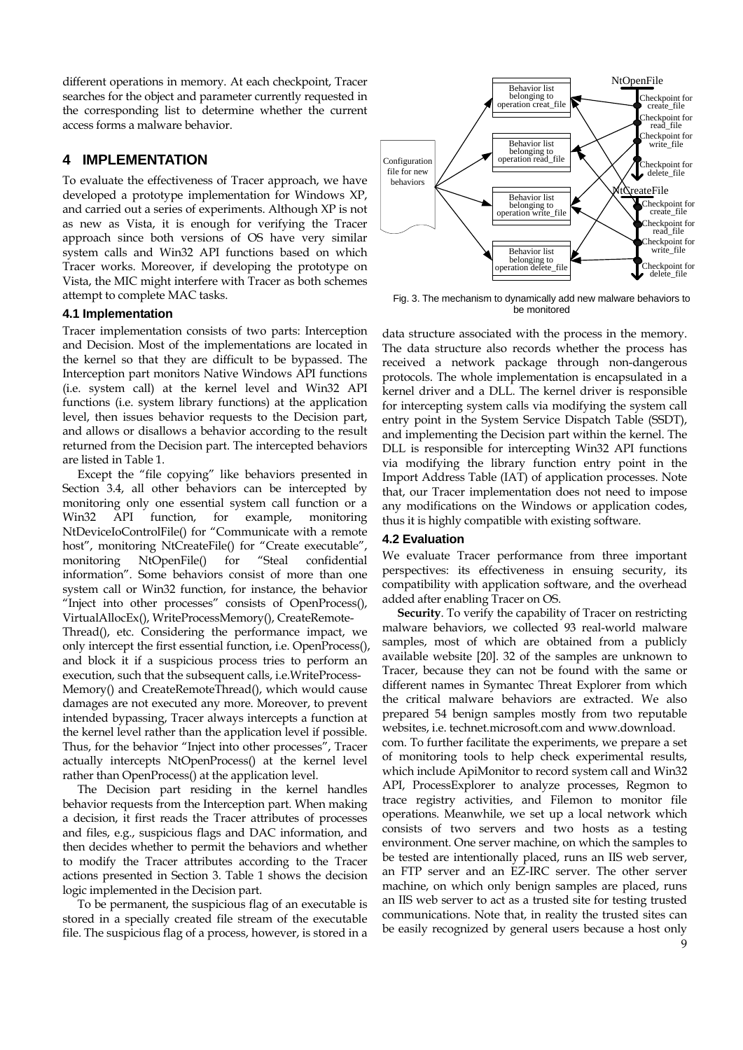different operations in memory. At each checkpoint, Tracer searches for the object and parameter currently requested in the corresponding list to determine whether the current access forms a malware behavior.

# **4 IMPLEMENTATION**

To evaluate the effectiveness of Tracer approach, we have developed a prototype implementation for Windows XP, and carried out a series of experiments. Although XP is not as new as Vista, it is enough for verifying the Tracer approach since both versions of OS have very similar system calls and Win32 API functions based on which Tracer works. Moreover, if developing the prototype on Vista, the MIC might interfere with Tracer as both schemes attempt to complete MAC tasks.

## **4.1 Implementation**

Tracer implementation consists of two parts: Interception and Decision. Most of the implementations are located in the kernel so that they are difficult to be bypassed. The Interception part monitors Native Windows API functions (i.e. system call) at the kernel level and Win32 API functions (i.e. system library functions) at the application level, then issues behavior requests to the Decision part, and allows or disallows a behavior according to the result returned from the Decision part. The intercepted behaviors are listed in Table 1.

Except the "file copying" like behaviors presented in Section 3.4, all other behaviors can be intercepted by monitoring only one essential system call function or a Win32 API function, for example, monitoring NtDeviceIoControlFile() for "Communicate with a remote host", monitoring NtCreateFile() for "Create executable", monitoring NtOpenFile() for "Steal confidential information". Some behaviors consist of more than one system call or Win32 function, for instance, the behavior "Inject into other processes" consists of OpenProcess(), VirtualAllocEx(), WriteProcessMemory(), CreateRemote-Thread(), etc. Considering the performance impact, we only intercept the first essential function, i.e. OpenProcess(), and block it if a suspicious process tries to perform an execution, such that the subsequent calls, i.e.WriteProcess-Memory() and CreateRemoteThread(), which would cause

damages are not executed any more. Moreover, to prevent intended bypassing, Tracer always intercepts a function at the kernel level rather than the application level if possible. Thus, for the behavior "Inject into other processes", Tracer actually intercepts NtOpenProcess() at the kernel level rather than OpenProcess() at the application level.

The Decision part residing in the kernel handles behavior requests from the Interception part. When making a decision, it first reads the Tracer attributes of processes and files, e.g., suspicious flags and DAC information, and then decides whether to permit the behaviors and whether to modify the Tracer attributes according to the Tracer actions presented in Section 3. Table 1 shows the decision logic implemented in the Decision part.

To be permanent, the suspicious flag of an executable is stored in a specially created file stream of the executable file. The suspicious flag of a process, however, is stored in a



Fig. 3. The mechanism to dynamically add new malware behaviors to be monitored

data structure associated with the process in the memory. The data structure also records whether the process has received a network package through non-dangerous protocols. The whole implementation is encapsulated in a kernel driver and a DLL. The kernel driver is responsible for intercepting system calls via modifying the system call entry point in the System Service Dispatch Table (SSDT), and implementing the Decision part within the kernel. The DLL is responsible for intercepting Win32 API functions via modifying the library function entry point in the Import Address Table (IAT) of application processes. Note that, our Tracer implementation does not need to impose any modifications on the Windows or application codes, thus it is highly compatible with existing software.

# **4.2 Evaluation**

We evaluate Tracer performance from three important perspectives: its effectiveness in ensuing security, its compatibility with application software, and the overhead added after enabling Tracer on OS.

**Security**. To verify the capability of Tracer on restricting malware behaviors, we collected 93 real-world malware samples, most of which are obtained from a publicly available website [20]. 32 of the samples are unknown to Tracer, because they can not be found with the same or different names in Symantec Threat Explorer from which the critical malware behaviors are extracted. We also prepared 54 benign samples mostly from two reputable websites, i.e. technet.microsoft.com and www.download.

com. To further facilitate the experiments, we prepare a set of monitoring tools to help check experimental results, which include ApiMonitor to record system call and Win32 API, ProcessExplorer to analyze processes, Regmon to trace registry activities, and Filemon to monitor file operations. Meanwhile, we set up a local network which consists of two servers and two hosts as a testing environment. One server machine, on which the samples to be tested are intentionally placed, runs an IIS web server, an FTP server and an EZ-IRC server. The other server machine, on which only benign samples are placed, runs an IIS web server to act as a trusted site for testing trusted communications. Note that, in reality the trusted sites can be easily recognized by general users because a host only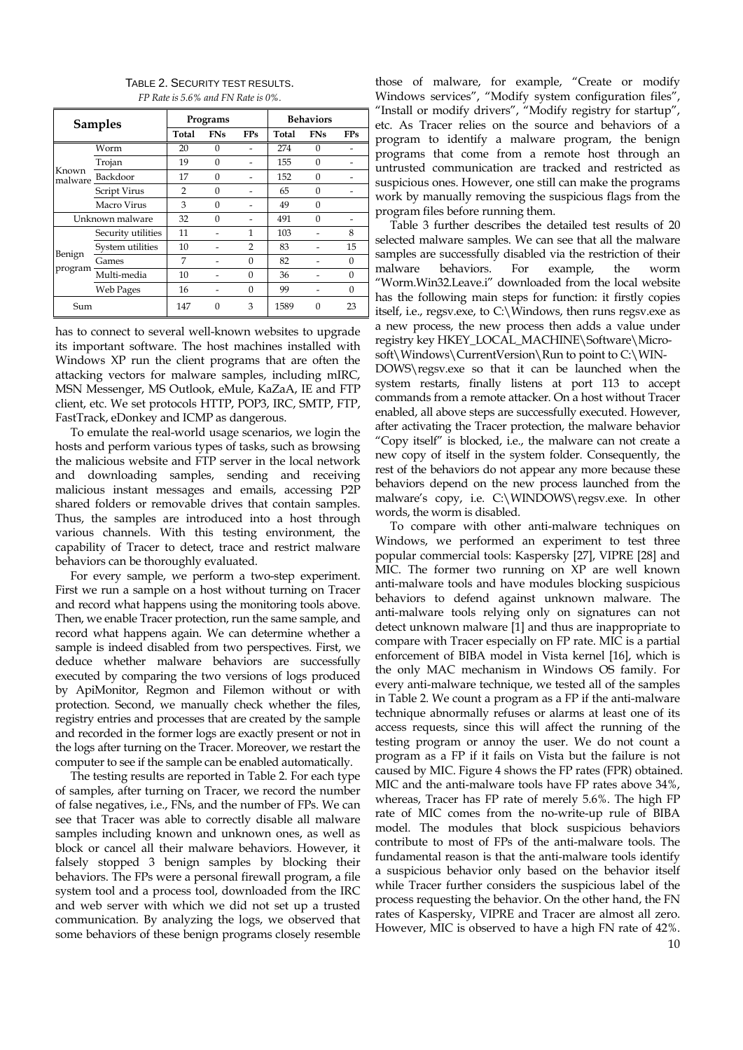| <b>Samples</b>    |                    |                | Programs   |                | <b>Behaviors</b> |              |               |
|-------------------|--------------------|----------------|------------|----------------|------------------|--------------|---------------|
|                   |                    | Total          | <b>FNs</b> | <b>FPs</b>     | Total            | <b>FNs</b>   | $_{\rm{FPs}}$ |
| Known<br>malware  | Worm               | 20             | $\Omega$   |                | 274              | $\Omega$     |               |
|                   | Trojan             | 19             | $\Omega$   |                | 155              | $\Omega$     |               |
|                   | Backdoor           | 17             | 0          |                | 152              | $\mathbf{0}$ |               |
|                   | Script Virus       | $\overline{2}$ | $\Omega$   |                | 65               | $\Omega$     |               |
|                   | Macro Virus        | 3              | $\Omega$   |                | 49               | 0            |               |
| Unknown malware   |                    | 32             | $\Omega$   |                | 491              | $\Omega$     |               |
| Benign<br>program | Security utilities | 11             |            | 1              | 103              |              | 8             |
|                   | System utilities   | 10             |            | $\overline{2}$ | 83               |              | 15            |
|                   | Games              | 7              |            | $\Omega$       | 82               |              | $\theta$      |
|                   | Multi-media        | 10             |            | $\Omega$       | 36               |              | $\Omega$      |
|                   | Web Pages          | 16             |            | $\Omega$       | 99               |              | 0             |
| Sum               |                    | 147            | 0          | 3              | 1589             | 0            | 23            |

## TABLE 2. SECURITY TEST RESULTS. *FP Rate is 5.6% and FN Rate is 0%.*

has to connect to several well-known websites to upgrade its important software. The host machines installed with Windows XP run the client programs that are often the attacking vectors for malware samples, including mIRC, MSN Messenger, MS Outlook, eMule, KaZaA, IE and FTP client, etc. We set protocols HTTP, POP3, IRC, SMTP, FTP, FastTrack, eDonkey and ICMP as dangerous.

To emulate the real-world usage scenarios, we login the hosts and perform various types of tasks, such as browsing the malicious website and FTP server in the local network and downloading samples, sending and receiving malicious instant messages and emails, accessing P2P shared folders or removable drives that contain samples. Thus, the samples are introduced into a host through various channels. With this testing environment, the capability of Tracer to detect, trace and restrict malware behaviors can be thoroughly evaluated.

For every sample, we perform a two-step experiment. First we run a sample on a host without turning on Tracer and record what happens using the monitoring tools above. Then, we enable Tracer protection, run the same sample, and record what happens again. We can determine whether a sample is indeed disabled from two perspectives. First, we deduce whether malware behaviors are successfully executed by comparing the two versions of logs produced by ApiMonitor, Regmon and Filemon without or with protection. Second, we manually check whether the files, registry entries and processes that are created by the sample and recorded in the former logs are exactly present or not in the logs after turning on the Tracer. Moreover, we restart the computer to see if the sample can be enabled automatically.

The testing results are reported in Table 2. For each type of samples, after turning on Tracer, we record the number of false negatives, i.e., FNs, and the number of FPs. We can see that Tracer was able to correctly disable all malware samples including known and unknown ones, as well as block or cancel all their malware behaviors. However, it falsely stopped 3 benign samples by blocking their behaviors. The FPs were a personal firewall program, a file system tool and a process tool, downloaded from the IRC and web server with which we did not set up a trusted communication. By analyzing the logs, we observed that some behaviors of these benign programs closely resemble

those of malware, for example, "Create or modify Windows services", "Modify system configuration files", "Install or modify drivers", "Modify registry for startup", etc. As Tracer relies on the source and behaviors of a program to identify a malware program, the benign programs that come from a remote host through an untrusted communication are tracked and restricted as suspicious ones. However, one still can make the programs work by manually removing the suspicious flags from the program files before running them.

Table 3 further describes the detailed test results of 20 selected malware samples. We can see that all the malware samples are successfully disabled via the restriction of their malware behaviors. For example, the worm "Worm.Win32.Leave.i" downloaded from the local website has the following main steps for function: it firstly copies itself, i.e., regsv.exe, to C:\Windows, then runs regsv.exe as a new process, the new process then adds a value under registry key HKEY\_LOCAL\_MACHINE\Software\Microsoft\Windows\CurrentVersion\Run to point to C:\WIN-DOWS\regsv.exe so that it can be launched when the system restarts, finally listens at port 113 to accept commands from a remote attacker. On a host without Tracer enabled, all above steps are successfully executed. However, after activating the Tracer protection, the malware behavior "Copy itself" is blocked, i.e., the malware can not create a new copy of itself in the system folder. Consequently, the rest of the behaviors do not appear any more because these behaviors depend on the new process launched from the malware's copy, i.e. C:\WINDOWS\regsv.exe. In other words, the worm is disabled.

To compare with other anti-malware techniques on Windows, we performed an experiment to test three popular commercial tools: Kaspersky [27], VIPRE [28] and MIC. The former two running on XP are well known anti-malware tools and have modules blocking suspicious behaviors to defend against unknown malware. The anti-malware tools relying only on signatures can not detect unknown malware [1] and thus are inappropriate to compare with Tracer especially on FP rate. MIC is a partial enforcement of BIBA model in Vista kernel [16], which is the only MAC mechanism in Windows OS family. For every anti-malware technique, we tested all of the samples in Table 2. We count a program as a FP if the anti-malware technique abnormally refuses or alarms at least one of its access requests, since this will affect the running of the testing program or annoy the user. We do not count a program as a FP if it fails on Vista but the failure is not caused by MIC. Figure 4 shows the FP rates (FPR) obtained. MIC and the anti-malware tools have FP rates above 34%, whereas, Tracer has FP rate of merely 5.6%. The high FP rate of MIC comes from the no-write-up rule of BIBA model. The modules that block suspicious behaviors contribute to most of FPs of the anti-malware tools. The fundamental reason is that the anti-malware tools identify a suspicious behavior only based on the behavior itself while Tracer further considers the suspicious label of the process requesting the behavior. On the other hand, the FN rates of Kaspersky, VIPRE and Tracer are almost all zero. However, MIC is observed to have a high FN rate of 42%.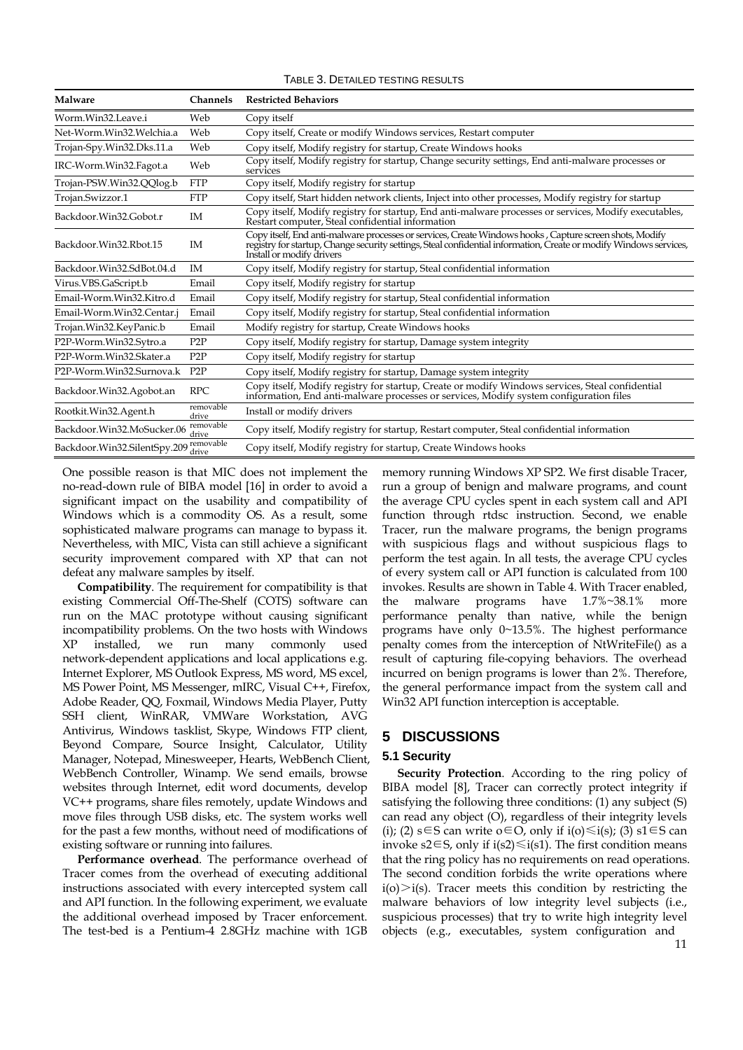#### TABLE 3. DETAILED TESTING RESULTS

| Malware                              | <b>Channels</b>    | <b>Restricted Behaviors</b>                                                                                                                                                                                                                                |  |  |  |
|--------------------------------------|--------------------|------------------------------------------------------------------------------------------------------------------------------------------------------------------------------------------------------------------------------------------------------------|--|--|--|
| Worm.Win32.Leave.i                   | Web                | Copy itself                                                                                                                                                                                                                                                |  |  |  |
| Net-Worm.Win32.Welchia.a             | Web                | Copy itself, Create or modify Windows services, Restart computer                                                                                                                                                                                           |  |  |  |
| Trojan-Spy.Win32.Dks.11.a            | Web                | Copy itself, Modify registry for startup, Create Windows hooks                                                                                                                                                                                             |  |  |  |
| IRC-Worm.Win32.Fagot.a               | Web                | Copy itself, Modify registry for startup, Change security settings, End anti-malware processes or<br>services                                                                                                                                              |  |  |  |
| Trojan-PSW.Win32.QQlog.b             | <b>FTP</b>         | Copy itself, Modify registry for startup                                                                                                                                                                                                                   |  |  |  |
| Trojan.Swizzor.1                     | <b>FTP</b>         | Copy itself, Start hidden network clients, Inject into other processes, Modify registry for startup                                                                                                                                                        |  |  |  |
| Backdoor.Win32.Gobot.r               | IM                 | Copy itself, Modify registry for startup, End anti-malware processes or services, Modify executables,<br>Restart computer, Steal confidential information                                                                                                  |  |  |  |
| Backdoor.Win32.Rbot.15               | IM                 | Copy itself, End anti-malware processes or services, Create Windows hooks, Capture screen shots, Modify<br>registry for startup, Change security settings, Steal confidential information, Create or modify Windows services,<br>Install or modify drivers |  |  |  |
| Backdoor.Win32.SdBot.04.d            | <b>IM</b>          | Copy itself, Modify registry for startup, Steal confidential information                                                                                                                                                                                   |  |  |  |
| Virus.VBS.GaScript.b                 | Email              | Copy itself, Modify registry for startup                                                                                                                                                                                                                   |  |  |  |
| Email-Worm.Win32.Kitro.d             | Email              | Copy itself, Modify registry for startup, Steal confidential information                                                                                                                                                                                   |  |  |  |
| Email-Worm.Win32.Centar.i            | Email              | Copy itself, Modify registry for startup, Steal confidential information                                                                                                                                                                                   |  |  |  |
| Trojan.Win32.KeyPanic.b              | Email              | Modify registry for startup, Create Windows hooks                                                                                                                                                                                                          |  |  |  |
| P2P-Worm.Win32.Sytro.a               | P2P                | Copy itself, Modify registry for startup, Damage system integrity                                                                                                                                                                                          |  |  |  |
| P <sub>2</sub> P-Worm.Win32.Skater.a | P2P                | Copy itself, Modify registry for startup                                                                                                                                                                                                                   |  |  |  |
| P2P-Worm.Win32.Surnova.k             | P2P                | Copy itself, Modify registry for startup, Damage system integrity                                                                                                                                                                                          |  |  |  |
| Backdoor.Win32.Agobot.an             | <b>RPC</b>         | Copy itself, Modify registry for startup, Create or modify Windows services, Steal confidential<br>information, End anti-malware processes or services, Modify system configuration files                                                                  |  |  |  |
| Rootkit.Win32.Agent.h                | removable<br>drive | Install or modify drivers                                                                                                                                                                                                                                  |  |  |  |
| Backdoor.Win32.MoSucker.06           | removable<br>drive | Copy itself, Modify registry for startup, Restart computer, Steal confidential information                                                                                                                                                                 |  |  |  |
| Backdoor.Win32.SilentSpy.209         | removable<br>drive | Copy itself, Modify registry for startup, Create Windows hooks                                                                                                                                                                                             |  |  |  |

One possible reason is that MIC does not implement the no-read-down rule of BIBA model [16] in order to avoid a significant impact on the usability and compatibility of Windows which is a commodity OS. As a result, some sophisticated malware programs can manage to bypass it. Nevertheless, with MIC, Vista can still achieve a significant security improvement compared with XP that can not defeat any malware samples by itself.

**Compatibility**. The requirement for compatibility is that existing Commercial Off-The-Shelf (COTS) software can run on the MAC prototype without causing significant incompatibility problems. On the two hosts with Windows XP installed, we run many commonly used network-dependent applications and local applications e.g. Internet Explorer, MS Outlook Express, MS word, MS excel, MS Power Point, MS Messenger, mIRC, Visual C++, Firefox, Adobe Reader, QQ, Foxmail, Windows Media Player, Putty SSH client, WinRAR, VMWare Workstation, AVG Antivirus, Windows tasklist, Skype, Windows FTP client, Beyond Compare, Source Insight, Calculator, Utility Manager, Notepad, Minesweeper, Hearts, WebBench Client, WebBench Controller, Winamp. We send emails, browse websites through Internet, edit word documents, develop VC++ programs, share files remotely, update Windows and move files through USB disks, etc. The system works well for the past a few months, without need of modifications of existing software or running into failures.

**Performance overhead**. The performance overhead of Tracer comes from the overhead of executing additional instructions associated with every intercepted system call and API function. In the following experiment, we evaluate the additional overhead imposed by Tracer enforcement. The test-bed is a Pentium-4 2.8GHz machine with 1GB

memory running Windows XP SP2. We first disable Tracer, run a group of benign and malware programs, and count the average CPU cycles spent in each system call and API function through rtdsc instruction. Second, we enable Tracer, run the malware programs, the benign programs with suspicious flags and without suspicious flags to perform the test again. In all tests, the average CPU cycles of every system call or API function is calculated from 100 invokes. Results are shown in Table 4. With Tracer enabled, the malware programs have 1.7%~38.1% more performance penalty than native, while the benign programs have only 0~13.5%. The highest performance penalty comes from the interception of NtWriteFile() as a result of capturing file-copying behaviors. The overhead incurred on benign programs is lower than 2%. Therefore, the general performance impact from the system call and Win32 API function interception is acceptable.

# **5 DISCUSSIONS**

## **5.1 Security**

**Security Protection**. According to the ring policy of BIBA model [8], Tracer can correctly protect integrity if satisfying the following three conditions: (1) any subject (S) can read any object (O), regardless of their integrity levels (i); (2) s∈S can write  $o \in O$ , only if i(o)  $\leq i(s)$ ; (3) s1 ∈S can invoke s2∈S, only if i(s2)≤i(s1). The first condition means that the ring policy has no requirements on read operations. The second condition forbids the write operations where  $i(0)$  > $i(0)$ . Tracer meets this condition by restricting the malware behaviors of low integrity level subjects (i.e., suspicious processes) that try to write high integrity level objects (e.g., executables, system configuration and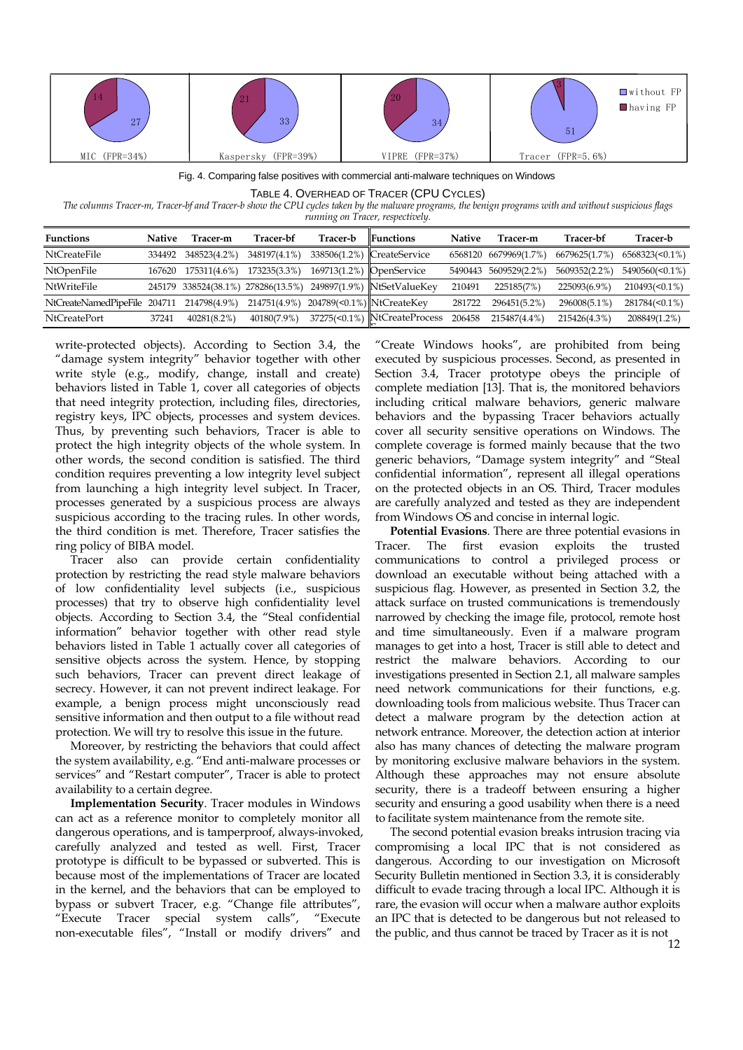

Fig. 4. Comparing false positives with commercial anti-malware techniques on Windows

TABLE 4. OVERHEAD OF TRACER (CPU CYCLES)

*The columns Tracer-m, Tracer-bf and Tracer-b show the CPU cycles taken by the malware programs, the benign programs with and without suspicious flags* 

| running on Tracer, respectively. |  |
|----------------------------------|--|
|----------------------------------|--|

| <b>Functions</b>                          | <b>Native</b> | Tracer-m                           | Tracer-bf      | Tracer-b                  | <b>Functions</b>             | <b>Native</b> | Tracer-m              | Tracer-bf     | Tracer-b               |
|-------------------------------------------|---------------|------------------------------------|----------------|---------------------------|------------------------------|---------------|-----------------------|---------------|------------------------|
| <b>NtCreateFile</b>                       |               | 334492 348523(4.2%)                | 348197(4.1%)   |                           | 338506(1.2%) CreateService   |               | 6568120 6679969(1.7%) | 6679625(1.7%) | $6568323 \times 0.1\%$ |
| NtOpenFile                                | 167620        | 175311(4.6%)                       | 173235(3.3%)   | 169713(1.2%) OpenService  |                              | 5490443       | 5609529(2.2%)         | 5609352(2.2%) | $5490560(\leq 0.1\%)$  |
| NtWriteFile                               |               | 245179 338524(38.1%) 278286(13.5%) |                |                           | 249897(1.9%) NtSetValueKey   | 210491        | 225185(7%)            | 225093(6.9%)  | $210493 \times 0.1\%$  |
| NtCreateNamedPipeFile 204711 214798(4.9%) |               |                                    | 214751(4.9%)   | 204789(<0.1%) NtCreateKey |                              | 281722        | 296451(5.2%)          | 296008(5.1%)  | $281784 \le 0.1\%$     |
| <b>NtCreatePort</b>                       | 37241         | 40281(8.2%)                        | $40180(7.9\%)$ |                           | 37275(<0.1%) NtCreateProcess | 206458        | 215487(4.4%)          | 215426(4.3%)  | 208849(1.2%)           |
|                                           |               |                                    |                |                           |                              |               |                       |               |                        |

write-protected objects). According to Section 3.4, the "damage system integrity" behavior together with other write style (e.g., modify, change, install and create) behaviors listed in Table 1, cover all categories of objects that need integrity protection, including files, directories, registry keys, IPC objects, processes and system devices. Thus, by preventing such behaviors, Tracer is able to protect the high integrity objects of the whole system. In other words, the second condition is satisfied. The third condition requires preventing a low integrity level subject from launching a high integrity level subject. In Tracer, processes generated by a suspicious process are always suspicious according to the tracing rules. In other words, the third condition is met. Therefore, Tracer satisfies the ring policy of BIBA model.

Tracer also can provide certain confidentiality protection by restricting the read style malware behaviors of low confidentiality level subjects (i.e., suspicious processes) that try to observe high confidentiality level objects. According to Section 3.4, the "Steal confidential information" behavior together with other read style behaviors listed in Table 1 actually cover all categories of sensitive objects across the system. Hence, by stopping such behaviors, Tracer can prevent direct leakage of secrecy. However, it can not prevent indirect leakage. For example, a benign process might unconsciously read sensitive information and then output to a file without read protection. We will try to resolve this issue in the future.

Moreover, by restricting the behaviors that could affect the system availability, e.g. "End anti-malware processes or services" and "Restart computer", Tracer is able to protect availability to a certain degree.

**Implementation Security**. Tracer modules in Windows can act as a reference monitor to completely monitor all dangerous operations, and is tamperproof, always-invoked, carefully analyzed and tested as well. First, Tracer prototype is difficult to be bypassed or subverted. This is because most of the implementations of Tracer are located in the kernel, and the behaviors that can be employed to bypass or subvert Tracer, e.g. "Change file attributes", "Execute Tracer special system calls", "Execute non-executable files", "Install or modify drivers" and

"Create Windows hooks", are prohibited from being executed by suspicious processes. Second, as presented in Section 3.4, Tracer prototype obeys the principle of complete mediation [13]. That is, the monitored behaviors including critical malware behaviors, generic malware behaviors and the bypassing Tracer behaviors actually cover all security sensitive operations on Windows. The complete coverage is formed mainly because that the two generic behaviors, "Damage system integrity" and "Steal confidential information", represent all illegal operations on the protected objects in an OS. Third, Tracer modules are carefully analyzed and tested as they are independent from Windows OS and concise in internal logic.

**Potential Evasions**. There are three potential evasions in Tracer. The first evasion exploits the trusted communications to control a privileged process or download an executable without being attached with a suspicious flag. However, as presented in Section 3.2, the attack surface on trusted communications is tremendously narrowed by checking the image file, protocol, remote host and time simultaneously. Even if a malware program manages to get into a host, Tracer is still able to detect and restrict the malware behaviors. According to our investigations presented in Section 2.1, all malware samples need network communications for their functions, e.g. downloading tools from malicious website. Thus Tracer can detect a malware program by the detection action at network entrance. Moreover, the detection action at interior also has many chances of detecting the malware program by monitoring exclusive malware behaviors in the system. Although these approaches may not ensure absolute security, there is a tradeoff between ensuring a higher security and ensuring a good usability when there is a need to facilitate system maintenance from the remote site.

The second potential evasion breaks intrusion tracing via compromising a local IPC that is not considered as dangerous. According to our investigation on Microsoft Security Bulletin mentioned in Section 3.3, it is considerably difficult to evade tracing through a local IPC. Although it is rare, the evasion will occur when a malware author exploits an IPC that is detected to be dangerous but not released to the public, and thus cannot be traced by Tracer as it is not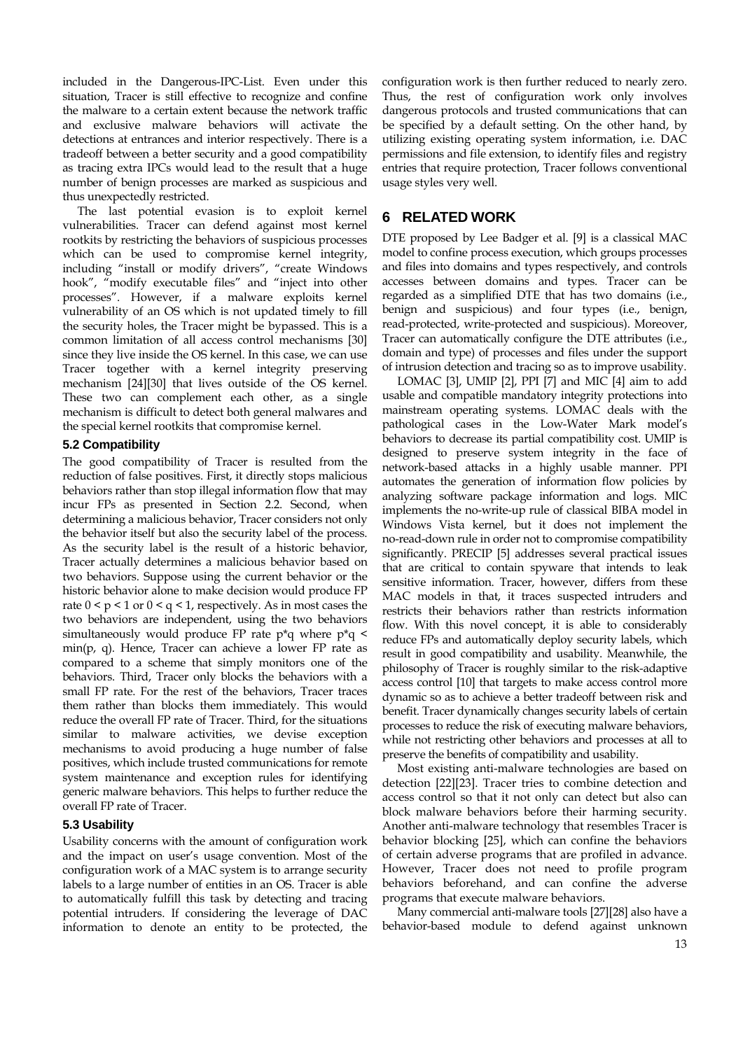included in the Dangerous-IPC-List. Even under this situation, Tracer is still effective to recognize and confine the malware to a certain extent because the network traffic and exclusive malware behaviors will activate the detections at entrances and interior respectively. There is a tradeoff between a better security and a good compatibility as tracing extra IPCs would lead to the result that a huge number of benign processes are marked as suspicious and thus unexpectedly restricted.

The last potential evasion is to exploit kernel vulnerabilities. Tracer can defend against most kernel rootkits by restricting the behaviors of suspicious processes which can be used to compromise kernel integrity, including "install or modify drivers", "create Windows hook", "modify executable files" and "inject into other processes". However, if a malware exploits kernel vulnerability of an OS which is not updated timely to fill the security holes, the Tracer might be bypassed. This is a common limitation of all access control mechanisms [30] since they live inside the OS kernel. In this case, we can use Tracer together with a kernel integrity preserving mechanism [24][30] that lives outside of the OS kernel. These two can complement each other, as a single mechanism is difficult to detect both general malwares and the special kernel rootkits that compromise kernel.

# **5.2 Compatibility**

The good compatibility of Tracer is resulted from the reduction of false positives. First, it directly stops malicious behaviors rather than stop illegal information flow that may incur FPs as presented in Section 2.2. Second, when determining a malicious behavior, Tracer considers not only the behavior itself but also the security label of the process. As the security label is the result of a historic behavior, Tracer actually determines a malicious behavior based on two behaviors. Suppose using the current behavior or the historic behavior alone to make decision would produce FP rate  $0 \le p \le 1$  or  $0 \le q \le 1$ , respectively. As in most cases the two behaviors are independent, using the two behaviors simultaneously would produce FP rate p\*q where p\*q < min(p, q). Hence, Tracer can achieve a lower FP rate as compared to a scheme that simply monitors one of the behaviors. Third, Tracer only blocks the behaviors with a small FP rate. For the rest of the behaviors, Tracer traces them rather than blocks them immediately. This would reduce the overall FP rate of Tracer. Third, for the situations similar to malware activities, we devise exception mechanisms to avoid producing a huge number of false positives, which include trusted communications for remote system maintenance and exception rules for identifying generic malware behaviors. This helps to further reduce the overall FP rate of Tracer.

# **5.3 Usability**

Usability concerns with the amount of configuration work and the impact on user's usage convention. Most of the configuration work of a MAC system is to arrange security labels to a large number of entities in an OS. Tracer is able to automatically fulfill this task by detecting and tracing potential intruders. If considering the leverage of DAC information to denote an entity to be protected, the

configuration work is then further reduced to nearly zero. Thus, the rest of configuration work only involves dangerous protocols and trusted communications that can be specified by a default setting. On the other hand, by utilizing existing operating system information, i.e. DAC permissions and file extension, to identify files and registry entries that require protection, Tracer follows conventional usage styles very well.

# **6 RELATED WORK**

DTE proposed by Lee Badger et al. [9] is a classical MAC model to confine process execution, which groups processes and files into domains and types respectively, and controls accesses between domains and types. Tracer can be regarded as a simplified DTE that has two domains (i.e., benign and suspicious) and four types (i.e., benign, read-protected, write-protected and suspicious). Moreover, Tracer can automatically configure the DTE attributes (i.e., domain and type) of processes and files under the support of intrusion detection and tracing so as to improve usability.

LOMAC [3], UMIP [2], PPI [7] and MIC [4] aim to add usable and compatible mandatory integrity protections into mainstream operating systems. LOMAC deals with the pathological cases in the Low-Water Mark model's behaviors to decrease its partial compatibility cost. UMIP is designed to preserve system integrity in the face of network-based attacks in a highly usable manner. PPI automates the generation of information flow policies by analyzing software package information and logs. MIC implements the no-write-up rule of classical BIBA model in Windows Vista kernel, but it does not implement the no-read-down rule in order not to compromise compatibility significantly. PRECIP [5] addresses several practical issues that are critical to contain spyware that intends to leak sensitive information. Tracer, however, differs from these MAC models in that, it traces suspected intruders and restricts their behaviors rather than restricts information flow. With this novel concept, it is able to considerably reduce FPs and automatically deploy security labels, which result in good compatibility and usability. Meanwhile, the philosophy of Tracer is roughly similar to the risk-adaptive access control [10] that targets to make access control more dynamic so as to achieve a better tradeoff between risk and benefit. Tracer dynamically changes security labels of certain processes to reduce the risk of executing malware behaviors, while not restricting other behaviors and processes at all to preserve the benefits of compatibility and usability.

Most existing anti-malware technologies are based on detection [22][23]. Tracer tries to combine detection and access control so that it not only can detect but also can block malware behaviors before their harming security. Another anti-malware technology that resembles Tracer is behavior blocking [25], which can confine the behaviors of certain adverse programs that are profiled in advance. However, Tracer does not need to profile program behaviors beforehand, and can confine the adverse programs that execute malware behaviors.

Many commercial anti-malware tools [27][28] also have a behavior-based module to defend against unknown